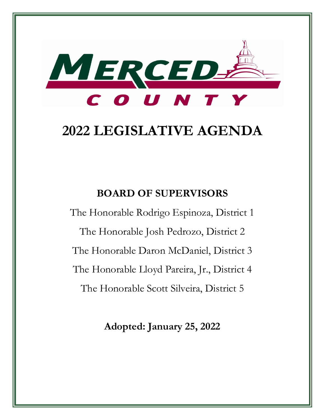

# **2022 LEGISLATIVE AGENDA**

## **BOARD OF SUPERVISORS**

The Honorable Rodrigo Espinoza, District 1 The Honorable Josh Pedrozo, District 2 The Honorable Daron McDaniel, District 3 The Honorable Lloyd Pareira, Jr., District 4 The Honorable Scott Silveira, District 5

**Adopted: January 25, 2022**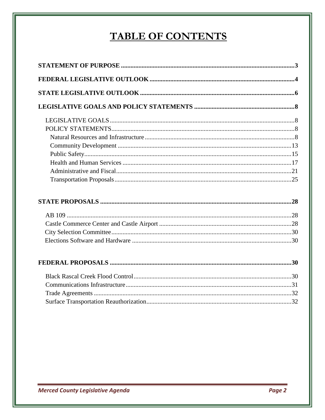## TABLE OF CONTENTS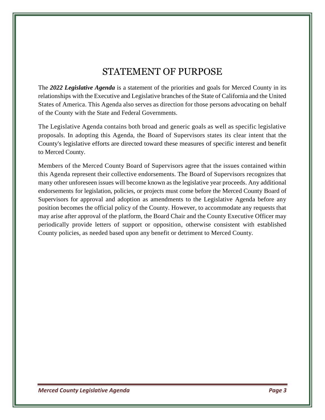## STATEMENT OF PURPOSE

The *2022 Legislative Agenda* is a statement of the priorities and goals for Merced County in its relationships with the Executive and Legislative branches of the State of California and the United States of America. This Agenda also serves as direction for those persons advocating on behalf of the County with the State and Federal Governments.

The Legislative Agenda contains both broad and generic goals as well as specific legislative proposals. In adopting this Agenda, the Board of Supervisors states its clear intent that the County's legislative efforts are directed toward these measures of specific interest and benefit to Merced County.

Members of the Merced County Board of Supervisors agree that the issues contained within this Agenda represent their collective endorsements. The Board of Supervisors recognizes that many other unforeseen issues will become known as the legislative year proceeds. Any additional endorsements for legislation, policies, or projects must come before the Merced County Board of Supervisors for approval and adoption as amendments to the Legislative Agenda before any position becomes the official policy of the County. However, to accommodate any requests that may arise after approval of the platform, the Board Chair and the County Executive Officer may periodically provide letters of support or opposition, otherwise consistent with established County policies, as needed based upon any benefit or detriment to Merced County.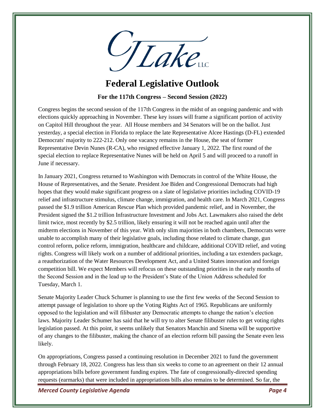

### **Federal Legislative Outlook**

**For the 117th Congress – Second Session (2022)**

Congress begins the second session of the 117th Congress in the midst of an ongoing pandemic and with elections quickly approaching in November. These key issues will frame a significant portion of activity on Capitol Hill throughout the year. All House members and 34 Senators will be on the ballot. Just yesterday, a special election in Florida to replace the late Representative Alcee Hastings (D-FL) extended Democrats' majority to 222-212. Only one vacancy remains in the House, the seat of former Representative Devin Nunes (R-CA), who resigned effective January 1, 2022. The first round of the special election to replace Representative Nunes will be held on April 5 and will proceed to a runoff in June if necessary.

In January 2021, Congress returned to Washington with Democrats in control of the White House, the House of Representatives, and the Senate. President Joe Biden and Congressional Democrats had high hopes that they would make significant progress on a slate of legislative priorities including COVID-19 relief and infrastructure stimulus, climate change, immigration, and health care. In March 2021, Congress passed the \$1.9 trillion American Rescue Plan which provided pandemic relief, and in November, the President signed the \$1.2 trillion Infrastructure Investment and Jobs Act. Lawmakers also raised the debt limit twice, most recently by \$2.5 trillion, likely ensuring it will not be reached again until after the midterm elections in November of this year. With only slim majorities in both chambers, Democrats were unable to accomplish many of their legislative goals, including those related to climate change, gun control reform, police reform, immigration, healthcare and childcare, additional COVID relief, and voting rights. Congress will likely work on a number of additional priorities, including a tax extenders package, a reauthorization of the Water Resources Development Act, and a United States innovation and foreign competition bill. We expect Members will refocus on these outstanding priorities in the early months of the Second Session and in the lead up to the President's State of the Union Address scheduled for Tuesday, March 1.

Senate Majority Leader Chuck Schumer is planning to use the first few weeks of the Second Session to attempt passage of legislation to shore up the Voting Rights Act of 1965. Republicans are uniformly opposed to the legislation and will filibuster any Democratic attempts to change the nation's election laws. Majority Leader Schumer has said that he will try to alter Senate filibuster rules to get voting rights legislation passed. At this point, it seems unlikely that Senators Manchin and Sinema will be supportive of any changes to the filibuster, making the chance of an election reform bill passing the Senate even less likely.

On appropriations, Congress passed a continuing resolution in December 2021 to fund the government through February 18, 2022. Congress has less than six weeks to come to an agreement on their 12 annual appropriations bills before government funding expires. The fate of congressionally-directed spending requests (earmarks) that were included in appropriations bills also remains to be determined. So far, the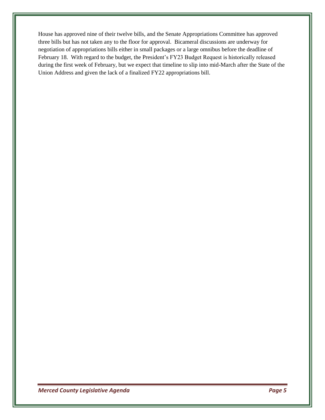House has approved nine of their twelve bills, and the Senate Appropriations Committee has approved three bills but has not taken any to the floor for approval. Bicameral discussions are underway for negotiation of appropriations bills either in small packages or a large omnibus before the deadline of February 18. With regard to the budget, the President's FY23 Budget Request is historically released during the first week of February, but we expect that timeline to slip into mid-March after the State of the Union Address and given the lack of a finalized FY22 appropriations bill.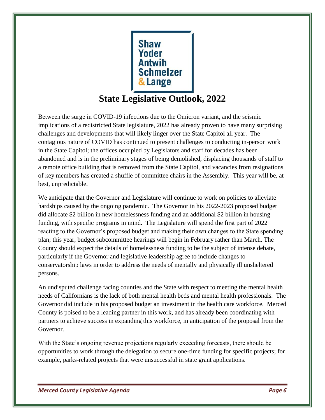

## **State Legislative Outlook, 2022**

Between the surge in COVID-19 infections due to the Omicron variant, and the seismic implications of a redistricted State legislature, 2022 has already proven to have many surprising challenges and developments that will likely linger over the State Capitol all year. The contagious nature of COVID has continued to present challenges to conducting in-person work in the State Capitol; the offices occupied by Legislators and staff for decades has been abandoned and is in the preliminary stages of being demolished, displacing thousands of staff to a remote office building that is removed from the State Capitol, and vacancies from resignations of key members has created a shuffle of committee chairs in the Assembly. This year will be, at best, unpredictable.

We anticipate that the Governor and Legislature will continue to work on policies to alleviate hardships caused by the ongoing pandemic. The Governor in his 2022-2023 proposed budget did allocate \$2 billion in new homelessness funding and an additional \$2 billion in housing funding, with specific programs in mind. The Legislature will spend the first part of 2022 reacting to the Governor's proposed budget and making their own changes to the State spending plan; this year, budget subcommittee hearings will begin in February rather than March. The County should expect the details of homelessness funding to be the subject of intense debate, particularly if the Governor and legislative leadership agree to include changes to conservatorship laws in order to address the needs of mentally and physically ill unsheltered persons.

An undisputed challenge facing counties and the State with respect to meeting the mental health needs of Californians is the lack of both mental health beds and mental health professionals. The Governor did include in his proposed budget an investment in the health care workforce. Merced County is poised to be a leading partner in this work, and has already been coordinating with partners to achieve success in expanding this workforce, in anticipation of the proposal from the Governor.

With the State's ongoing revenue projections regularly exceeding forecasts, there should be opportunities to work through the delegation to secure one-time funding for specific projects; for example, parks-related projects that were unsuccessful in state grant applications.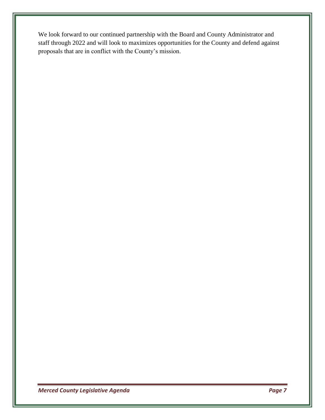We look forward to our continued partnership with the Board and County Administrator and staff through 2022 and will look to maximizes opportunities for the County and defend against proposals that are in conflict with the County's mission.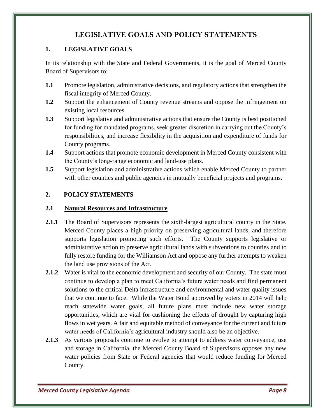#### **LEGISLATIVE GOALS AND POLICY STATEMENTS**

#### **1. LEGISLATIVE GOALS**

In its relationship with the State and Federal Governments, it is the goal of Merced County Board of Supervisors to:

- **1.1** Promote legislation, administrative decisions, and regulatory actions that strengthen the fiscal integrity of Merced County.
- **1.2** Support the enhancement of County revenue streams and oppose the infringement on existing local resources.
- **1.3** Support legislative and administrative actions that ensure the County is best positioned for funding for mandated programs, seek greater discretion in carrying out the County's responsibilities, and increase flexibility in the acquisition and expenditure of funds for County programs.
- **1.4** Support actions that promote economic development in Merced County consistent with the County's long-range economic and land-use plans.
- **1.5** Support legislation and administrative actions which enable Merced County to partner with other counties and public agencies in mutually beneficial projects and programs.

#### **2. POLICY STATEMENTS**

#### **2.1 Natural Resources and Infrastructure**

- **2.1.1** The Board of Supervisors represents the sixth-largest agricultural county in the State. Merced County places a high priority on preserving agricultural lands, and therefore supports legislation promoting such efforts. The County supports legislative or administrative action to preserve agricultural lands with subventions to counties and to fully restore funding for the Williamson Act and oppose any further attempts to weaken the land use provisions of the Act.
- **2.1.2** Water is vital to the economic development and security of our County. The state must continue to develop a plan to meet California's future water needs and find permanent solutions to the critical Delta infrastructure and environmental and water quality issues that we continue to face. While the Water Bond approved by voters in 2014 will help reach statewide water goals, all future plans must include new water storage opportunities, which are vital for cushioning the effects of drought by capturing high flows in wet years. A fair and equitable method of conveyance for the current and future water needs of California's agricultural industry should also be an objective.
- **2.1.3** As various proposals continue to evolve to attempt to address water conveyance, use and storage in California, the Merced County Board of Supervisors opposes any new water policies from State or Federal agencies that would reduce funding for Merced County.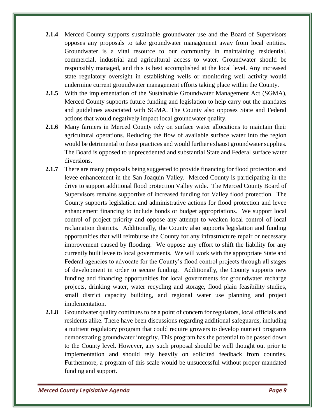- **2.1.4** Merced County supports sustainable groundwater use and the Board of Supervisors opposes any proposals to take groundwater management away from local entities. Groundwater is a vital resource to our community in maintaining residential, commercial, industrial and agricultural access to water. Groundwater should be responsibly managed, and this is best accomplished at the local level. Any increased state regulatory oversight in establishing wells or monitoring well activity would undermine current groundwater management efforts taking place within the County.
- **2.1.5** With the implementation of the Sustainable Groundwater Management Act (SGMA), Merced County supports future funding and legislation to help carry out the mandates and guidelines associated with SGMA. The County also opposes State and Federal actions that would negatively impact local groundwater quality.
- **2.1.6** Many farmers in Merced County rely on surface water allocations to maintain their agricultural operations. Reducing the flow of available surface water into the region would be detrimental to these practices and would further exhaust groundwater supplies. The Board is opposed to unprecedented and substantial State and Federal surface water diversions.
- **2.1.7** There are many proposals being suggested to provide financing for flood protection and levee enhancement in the San Joaquin Valley. Merced County is participating in the drive to support additional flood protection Valley wide. The Merced County Board of Supervisors remains supportive of increased funding for Valley flood protection. The County supports legislation and administrative actions for flood protection and levee enhancement financing to include bonds or budget appropriations. We support local control of project priority and oppose any attempt to weaken local control of local reclamation districts. Additionally, the County also supports legislation and funding opportunities that will reimburse the County for any infrastructure repair or necessary improvement caused by flooding. We oppose any effort to shift the liability for any currently built levee to local governments. We will work with the appropriate State and Federal agencies to advocate for the County's flood control projects through all stages of development in order to secure funding. Additionally, the County supports new funding and financing opportunities for local governments for groundwater recharge projects, drinking water, water recycling and storage, flood plain feasibility studies, small district capacity building, and regional water use planning and project implementation.
- **2.1.8** Groundwater quality continues to be a point of concern for regulators, local officials and residents alike. There have been discussions regarding additional safeguards, including a nutrient regulatory program that could require growers to develop nutrient programs demonstrating groundwater integrity. This program has the potential to be passed down to the County level. However, any such proposal should be well thought out prior to implementation and should rely heavily on solicited feedback from counties. Furthermore, a program of this scale would be unsuccessful without proper mandated funding and support.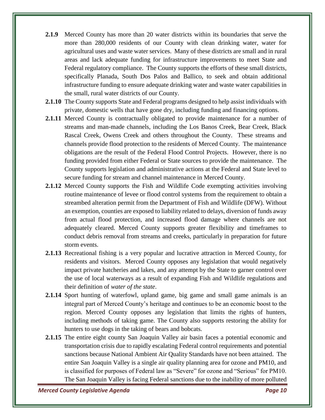- **2.1.9** Merced County has more than 20 water districts within its boundaries that serve the more than 280,000 residents of our County with clean drinking water, water for agricultural uses and waste water services. Many of these districts are small and in rural areas and lack adequate funding for infrastructure improvements to meet State and Federal regulatory compliance. The County supports the efforts of these small districts, specifically Planada, South Dos Palos and Ballico, to seek and obtain additional infrastructure funding to ensure adequate drinking water and waste water capabilities in the small, rural water districts of our County.
- **2.1.10** The County supports State and Federal programs designed to help assist individuals with private, domestic wells that have gone dry, including funding and financing options.
- **2.1.11** Merced County is contractually obligated to provide maintenance for a number of streams and man-made channels, including the Los Banos Creek, Bear Creek, Black Rascal Creek, Owens Creek and others throughout the County. These streams and channels provide flood protection to the residents of Merced County. The maintenance obligations are the result of the Federal Flood Control Projects. However, there is no funding provided from either Federal or State sources to provide the maintenance. The County supports legislation and administrative actions at the Federal and State level to secure funding for stream and channel maintenance in Merced County.
- **2.1.12** Merced County supports the Fish and Wildlife Code exempting activities involving routine maintenance of levee or flood control systems from the requirement to obtain a streambed alteration permit from the Department of Fish and Wildlife (DFW). Without an exemption, counties are exposed to liability related to delays, diversion of funds away from actual flood protection, and increased flood damage where channels are not adequately cleared. Merced County supports greater flexibility and timeframes to conduct debris removal from streams and creeks, particularly in preparation for future storm events.
- **2.1.13** Recreational fishing is a very popular and lucrative attraction in Merced County, for residents and visitors. Merced County opposes any legislation that would negatively impact private hatcheries and lakes, and any attempt by the State to garner control over the use of local waterways as a result of expanding Fish and Wildlife regulations and their definition of *water of the state*.
- **2.1.14** Sport hunting of waterfowl, upland game, big game and small game animals is an integral part of Merced County's heritage and continues to be an economic boost to the region. Merced County opposes any legislation that limits the rights of hunters, including methods of taking game. The County also supports restoring the ability for hunters to use dogs in the taking of bears and bobcats.
- **2.1.15** The entire eight county San Joaquin Valley air basin faces a potential economic and transportation crisis due to rapidly escalating Federal control requirements and potential sanctions because National Ambient Air Quality Standards have not been attained. The entire San Joaquin Valley is a single air quality planning area for ozone and PM10, and is classified for purposes of Federal law as "Severe" for ozone and "Serious" for PM10. The San Joaquin Valley is facing Federal sanctions due to the inability of more polluted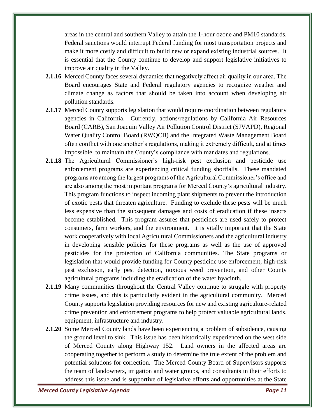areas in the central and southern Valley to attain the 1-hour ozone and PM10 standards. Federal sanctions would interrupt Federal funding for most transportation projects and make it more costly and difficult to build new or expand existing industrial sources. It is essential that the County continue to develop and support legislative initiatives to improve air quality in the Valley.

- **2.1.16** Merced County faces several dynamics that negatively affect air quality in our area. The Board encourages State and Federal regulatory agencies to recognize weather and climate change as factors that should be taken into account when developing air pollution standards.
- **2.1.17** Merced County supports legislation that would require coordination between regulatory agencies in California. Currently, actions/regulations by California Air Resources Board (CARB), San Joaquin Valley Air Pollution Control District (SJVAPD), Regional Water Quality Control Board (RWQCB) and the Integrated Waste Management Board often conflict with one another's regulations, making it extremely difficult, and at times impossible, to maintain the County's compliance with mandates and regulations.
- **2.1.18** The Agricultural Commissioner's high-risk pest exclusion and pesticide use enforcement programs are experiencing critical funding shortfalls. These mandated programs are among the largest programs of the Agricultural Commissioner's office and are also among the most important programs for Merced County's agricultural industry. This program functions to inspect incoming plant shipments to prevent the introduction of exotic pests that threaten agriculture. Funding to exclude these pests will be much less expensive than the subsequent damages and costs of eradication if these insects become established. This program assures that pesticides are used safely to protect consumers, farm workers, and the environment. It is vitally important that the State work cooperatively with local Agricultural Commissioners and the agricultural industry in developing sensible policies for these programs as well as the use of approved pesticides for the protection of California communities. The State programs or legislation that would provide funding for County pesticide use enforcement, high-risk pest exclusion, early pest detection, noxious weed prevention, and other County agricultural programs including the eradication of the water hyacinth.
- **2.1.19** Many communities throughout the Central Valley continue to struggle with property crime issues, and this is particularly evident in the agricultural community. Merced County supports legislation providing resources for new and existing agriculture-related crime prevention and enforcement programs to help protect valuable agricultural lands, equipment, infrastructure and industry.
- **2.1.20** Some Merced County lands have been experiencing a problem of subsidence, causing the ground level to sink. This issue has been historically experienced on the west side of Merced County along Highway 152. Land owners in the affected areas are cooperating together to perform a study to determine the true extent of the problem and potential solutions for correction. The Merced County Board of Supervisors supports the team of landowners, irrigation and water groups, and consultants in their efforts to address this issue and is supportive of legislative efforts and opportunities at the State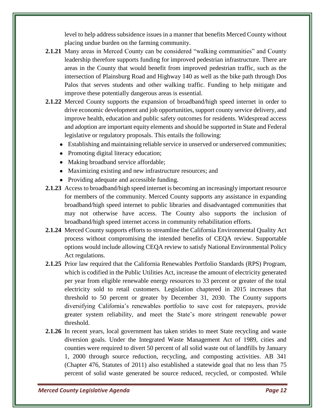level to help address subsidence issues in a manner that benefits Merced County without placing undue burden on the farming community.

- **2.1.21** Many areas in Merced County can be considered "walking communities" and County leadership therefore supports funding for improved pedestrian infrastructure. There are areas in the County that would benefit from improved pedestrian traffic, such as the intersection of Plainsburg Road and Highway 140 as well as the bike path through Dos Palos that serves students and other walking traffic. Funding to help mitigate and improve these potentially dangerous areas is essential.
- **2.1.22** Merced County supports the expansion of broadband/high speed internet in order to drive economic development and job opportunities, support county service delivery, and improve health, education and public safety outcomes for residents. Widespread access and adoption are important equity elements and should be supported in State and Federal legislative or regulatory proposals. This entails the following:
	- Establishing and maintaining reliable service in unserved or underserved communities;
	- Promoting digital literacy education;
	- Making broadband service affordable;
	- Maximizing existing and new infrastructure resources; and
	- Providing adequate and accessible funding.
- **2.1.23** Access to broadband/high speed internet is becoming an increasingly important resource for members of the community. Merced County supports any assistance in expanding broadband/high speed internet to public libraries and disadvantaged communities that may not otherwise have access. The County also supports the inclusion of broadband/high speed internet access in community rehabilitation efforts.
- **2.1.24** Merced County supports efforts to streamline the California Environmental Quality Act process without compromising the intended benefits of CEQA review. Supportable options would include allowing CEQA review to satisfy National Environmental Policy Act regulations.
- **2.1.25** Prior law required that the California Renewables Portfolio Standards (RPS) Program, which is codified in the Public Utilities Act, increase the amount of electricity generated per year from eligible renewable energy resources to 33 percent or greater of the total electricity sold to retail customers. Legislation chaptered in 2015 increases that threshold to 50 percent or greater by December 31, 2030. The County supports diversifying California's renewables portfolio to save cost for ratepayers, provide greater system reliability, and meet the State's more stringent renewable power threshold.
- **2.1.26** In recent years, local government has taken strides to meet State recycling and waste diversion goals. Under the Integrated Waste Management Act of 1989, cities and counties were required to divert 50 percent of all solid waste out of landfills by January 1, 2000 through source reduction, recycling, and composting activities. AB 341 (Chapter 476, Statutes of 2011) also established a statewide goal that no less than 75 percent of solid waste generated be source reduced, recycled, or composted. While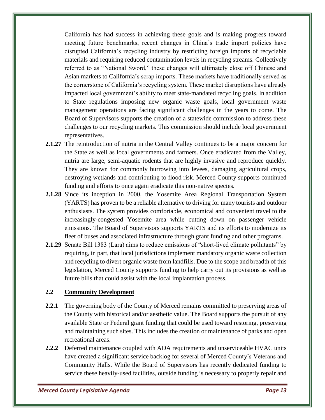California has had success in achieving these goals and is making progress toward meeting future benchmarks, recent changes in China's trade import policies have disrupted California's recycling industry by restricting foreign imports of recyclable materials and requiring reduced contamination levels in recycling streams. Collectively referred to as "National Sword," these changes will ultimately close off Chinese and Asian markets to California's scrap imports. These markets have traditionally served as the cornerstone of California's recycling system. These market disruptions have already impacted local government's ability to meet state-mandated recycling goals. In addition to State regulations imposing new organic waste goals, local government waste management operations are facing significant challenges in the years to come. The Board of Supervisors supports the creation of a statewide commission to address these challenges to our recycling markets. This commission should include local government representatives.

- **2.1.27** The reintroduction of nutria in the Central Valley continues to be a major concern for the State as well as local governments and farmers. Once eradicated from the Valley, nutria are large, semi-aquatic rodents that are highly invasive and reproduce quickly. They are known for commonly burrowing into levees, damaging agricultural crops, destroying wetlands and contributing to flood risk. Merced County supports continued funding and efforts to once again eradicate this non-native species.
- **2.1.28** Since its inception in 2000, the Yosemite Area Regional Transportation System (YARTS) has proven to be a reliable alternative to driving for many tourists and outdoor enthusiasts. The system provides comfortable, economical and convenient travel to the increasingly-congested Yosemite area while cutting down on passenger vehicle emissions. The Board of Supervisors supports YARTS and its efforts to modernize its fleet of buses and associated infrastructure through grant funding and other programs.
- **2.1.29** Senate Bill 1383 (Lara) aims to reduce emissions of "short-lived climate pollutants" by requiring, in part, that local jurisdictions implement mandatory organic waste collection and recycling to divert organic waste from landfills. Due to the scope and breadth of this legislation, Merced County supports funding to help carry out its provisions as well as future bills that could assist with the local implantation process.

#### **2.2 Community Development**

- **2.2.1** The governing body of the County of Merced remains committed to preserving areas of the County with historical and/or aesthetic value. The Board supports the pursuit of any available State or Federal grant funding that could be used toward restoring, preserving and maintaining such sites. This includes the creation or maintenance of parks and open recreational areas.
- **2.2.2** Deferred maintenance coupled with ADA requirements and unserviceable HVAC units have created a significant service backlog for several of Merced County's Veterans and Community Halls. While the Board of Supervisors has recently dedicated funding to service these heavily-used facilities, outside funding is necessary to properly repair and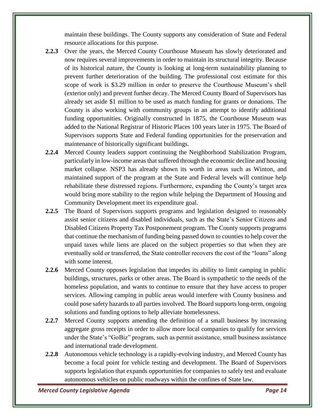maintain these buildings. The County supports any consideration of State and Federal resource allocations for this purpose.

- **2.2.3** Over the years, the Merced County Courthouse Museum has slowly deteriorated and now requires several improvements in order to maintain its structural integrity. Because of its historical nature, the County is looking at long-term sustainability planning to prevent further deterioration of the building. The professional cost estimate for this scope of work is \$3.29 million in order to preserve the Courthouse Museum's shell (exterior only) and prevent further decay. The Merced County Board of Supervisors has already set aside \$1 million to be used as match funding for grants or donations. The County is also working with community groups in an attempt to identify additional funding opportunities. Originally constructed in 1875, the Courthouse Museum was added to the National Registrar of Historic Places 100 years later in 1975. The Board of Supervisors supports State and Federal funding opportunities for the preservation and maintenance of historically significant buildings.
- **2.2.4** Merced County leaders support continuing the Neighborhood Stabilization Program, particularly in low-income areas that suffered through the economic decline and housing market collapse. NSP3 has already shown its worth in areas such as Winton, and maintained support of the program at the State and Federal levels will continue help rehabilitate these distressed regions. Furthermore, expanding the County's target area would bring more stability to the region while helping the Department of Housing and Community Development meet its expenditure goal.
- **2.2.5** The Board of Supervisors supports programs and legislation designed to reasonably assist senior citizens and disabled individuals, such as the State's Senior Citizens and Disabled Citizens Property Tax Postponement program. The County supports programs that continue the mechanism of funding being passed down to counties to help cover the unpaid taxes while liens are placed on the subject properties so that when they are eventually sold or transferred, the State controller recovers the cost of the "loans" along with some interest.
- **2.2.6** Merced County opposes legislation that impedes its ability to limit camping in public buildings, structures, parks or other areas. The Board is sympathetic to the needs of the homeless population, and wants to continue to ensure that they have access to proper services. Allowing camping in public areas would interfere with County business and could pose safety hazards to all parties involved. The Board supports long-term, ongoing solutions and funding options to help alleviate homelessness.
- **2.2.7** Merced County supports amending the definition of a small business by increasing aggregate gross receipts in order to allow more local companies to qualify for services under the State's "GoBiz" program, such as permit assistance, small business assistance and international trade development.
- **2.2.8** Autonomous vehicle technology is a rapidly-evolving industry, and Merced County has become a focal point for vehicle testing and development. The Board of Supervisors supports legislation that expands opportunities for companies to safely test and evaluate autonomous vehicles on public roadways within the confines of State law.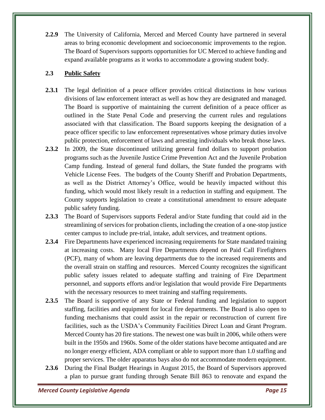**2.2.9** The University of California, Merced and Merced County have partnered in several areas to bring economic development and socioeconomic improvements to the region. The Board of Supervisors supports opportunities for UC Merced to achieve funding and expand available programs as it works to accommodate a growing student body.

#### **2.3 Public Safety**

- **2.3.1** The legal definition of a peace officer provides critical distinctions in how various divisions of law enforcement interact as well as how they are designated and managed. The Board is supportive of maintaining the current definition of a peace officer as outlined in the State Penal Code and preserving the current rules and regulations associated with that classification. The Board supports keeping the designation of a peace officer specific to law enforcement representatives whose primary duties involve public protection, enforcement of laws and arresting individuals who break those laws.
- **2.3.2** In 2009, the State discontinued utilizing general fund dollars to support probation programs such as the Juvenile Justice Crime Prevention Act and the Juvenile Probation Camp funding. Instead of general fund dollars, the State funded the programs with Vehicle License Fees. The budgets of the County Sheriff and Probation Departments, as well as the District Attorney's Office, would be heavily impacted without this funding, which would most likely result in a reduction in staffing and equipment. The County supports legislation to create a constitutional amendment to ensure adequate public safety funding.
- **2.3.3** The Board of Supervisors supports Federal and/or State funding that could aid in the streamlining of services for probation clients, including the creation of a one-stop justice center campus to include pre-trial, intake, adult services, and treatment options.
- **2.3.4** Fire Departments have experienced increasing requirements for State mandated training at increasing costs. Many local Fire Departments depend on Paid Call Firefighters (PCF), many of whom are leaving departments due to the increased requirements and the overall strain on staffing and resources. Merced County recognizes the significant public safety issues related to adequate staffing and training of Fire Department personnel, and supports efforts and/or legislation that would provide Fire Departments with the necessary resources to meet training and staffing requirements.
- **2.3.5** The Board is supportive of any State or Federal funding and legislation to support staffing, facilities and equipment for local fire departments. The Board is also open to funding mechanisms that could assist in the repair or reconstruction of current fire facilities, such as the USDA's Community Facilities Direct Loan and Grant Program. Merced County has 20 fire stations. The newest one was built in 2006, while others were built in the 1950s and 1960s. Some of the older stations have become antiquated and are no longer energy efficient, ADA compliant or able to support more than 1.0 staffing and proper services. The older apparatus bays also do not accommodate modern equipment.
- **2.3.6** During the Final Budget Hearings in August 2015, the Board of Supervisors approved a plan to pursue grant funding through Senate Bill 863 to renovate and expand the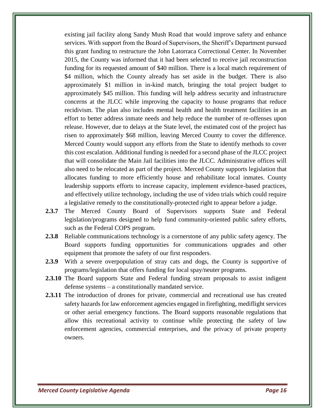existing jail facility along Sandy Mush Road that would improve safety and enhance services. With support from the Board of Supervisors, the Sheriff's Department pursued this grant funding to restructure the John Latorraca Correctional Center. In November 2015, the County was informed that it had been selected to receive jail reconstruction funding for its requested amount of \$40 million. There is a local match requirement of \$4 million, which the County already has set aside in the budget. There is also approximately \$1 million in in-kind match, bringing the total project budget to approximately \$45 million. This funding will help address security and infrastructure concerns at the JLCC while improving the capacity to house programs that reduce recidivism. The plan also includes mental health and health treatment facilities in an effort to better address inmate needs and help reduce the number of re-offenses upon release. However, due to delays at the State level, the estimated cost of the project has risen to approximately \$68 million, leaving Merced County to cover the difference. Merced County would support any efforts from the State to identify methods to cover this cost escalation. Additional funding is needed for a second phase of the JLCC project that will consolidate the Main Jail facilities into the JLCC. Administrative offices will also need to be relocated as part of the project. Merced County supports legislation that allocates funding to more efficiently house and rehabilitate local inmates. County leadership supports efforts to increase capacity, implement evidence-based practices, and effectively utilize technology, including the use of video trials which could require a legislative remedy to the constitutionally-protected right to appear before a judge.

- **2.3.7** The Merced County Board of Supervisors supports State and Federal legislation/programs designed to help fund community-oriented public safety efforts, such as the Federal COPS program.
- **2.3.8** Reliable communications technology is a cornerstone of any public safety agency. The Board supports funding opportunities for communications upgrades and other equipment that promote the safety of our first responders.
- **2.3.9** With a severe overpopulation of stray cats and dogs, the County is supportive of programs/legislation that offers funding for local spay/neuter programs.
- **2.3.10** The Board supports State and Federal funding stream proposals to assist indigent defense systems – a constitutionally mandated service.
- **2.3.11** The introduction of drones for private, commercial and recreational use has created safety hazards for law enforcement agencies engaged in firefighting, mediflight services or other aerial emergency functions. The Board supports reasonable regulations that allow this recreational activity to continue while protecting the safety of law enforcement agencies, commercial enterprises, and the privacy of private property owners.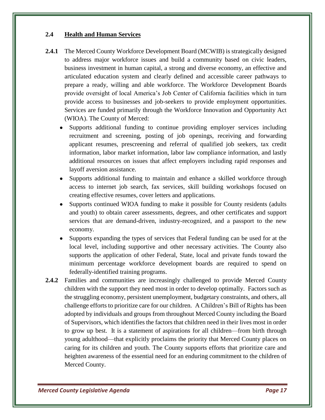#### **2.4 Health and Human Services**

- **2.4.1** The Merced County Workforce Development Board (MCWIB) is strategically designed to address major workforce issues and build a community based on civic leaders, business investment in human capital, a strong and diverse economy, an effective and articulated education system and clearly defined and accessible career pathways to prepare a ready, willing and able workforce. The Workforce Development Boards provide oversight of local America's Job Center of California facilities which in turn provide access to businesses and job-seekers to provide employment opportunities. Services are funded primarily through the Workforce Innovation and Opportunity Act (WIOA). The County of Merced:
	- Supports additional funding to continue providing employer services including recruitment and screening, posting of job openings, receiving and forwarding applicant resumes, prescreening and referral of qualified job seekers, tax credit information, labor market information, labor law compliance information, and lastly additional resources on issues that affect employers including rapid responses and layoff aversion assistance.
	- Supports additional funding to maintain and enhance a skilled workforce through access to internet job search, fax services, skill building workshops focused on creating effective resumes, cover letters and applications.
	- Supports continued WIOA funding to make it possible for County residents (adults and youth) to obtain career assessments, degrees, and other certificates and support services that are demand-driven, industry-recognized, and a passport to the new economy.
	- Supports expanding the types of services that Federal funding can be used for at the local level, including supportive and other necessary activities. The County also supports the application of other Federal, State, local and private funds toward the minimum percentage workforce development boards are required to spend on federally-identified training programs.
- **2.4.2** Families and communities are increasingly challenged to provide Merced County children with the support they need most in order to develop optimally. Factors such as the struggling economy, persistent unemployment, budgetary constraints, and others, all challenge efforts to prioritize care for our children. A Children's Bill of Rights has been adopted by individuals and groups from throughout Merced County including the Board of Supervisors, which identifies the factors that children need in their lives most in order to grow up best. It is a statement of aspirations for all children—from birth through young adulthood—that explicitly proclaims the priority that Merced County places on caring for its children and youth. The County supports efforts that prioritize care and heighten awareness of the essential need for an enduring commitment to the children of Merced County.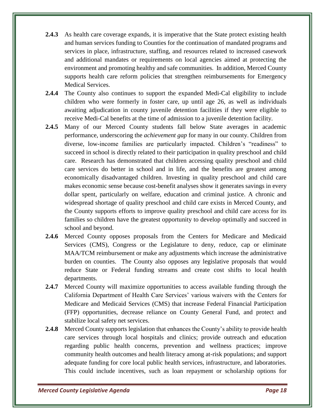- **2.4.3** As health care coverage expands, it is imperative that the State protect existing health and human services funding to Counties for the continuation of mandated programs and services in place, infrastructure, staffing, and resources related to increased casework and additional mandates or requirements on local agencies aimed at protecting the environment and promoting healthy and safe communities. In addition, Merced County supports health care reform policies that strengthen reimbursements for Emergency Medical Services.
- **2.4.4** The County also continues to support the expanded Medi-Cal eligibility to include children who were formerly in foster care, up until age 26, as well as individuals awaiting adjudication in county juvenile detention facilities if they were eligible to receive Medi-Cal benefits at the time of admission to a juvenile detention facility.
- **2.4.5** Many of our Merced County students fall below State averages in academic performance, underscoring the *achievement gap* for many in our county. Children from diverse, low-income families are particularly impacted. Children's "readiness" to succeed in school is directly related to their participation in quality preschool and child care. Research has demonstrated that children accessing quality preschool and child care services do better in school and in life, and the benefits are greatest among economically disadvantaged children. Investing in quality preschool and child care makes economic sense because cost-benefit analyses show it generates savings in every dollar spent, particularly on welfare, education and criminal justice. A chronic and widespread shortage of quality preschool and child care exists in Merced County, and the County supports efforts to improve quality preschool and child care access for its families so children have the greatest opportunity to develop optimally and succeed in school and beyond.
- **2.4.6** Merced County opposes proposals from the Centers for Medicare and Medicaid Services (CMS), Congress or the Legislature to deny, reduce, cap or eliminate MAA/TCM reimbursement or make any adjustments which increase the administrative burden on counties. The County also opposes any legislative proposals that would reduce State or Federal funding streams and create cost shifts to local health departments.
- **2.4.7** Merced County will maximize opportunities to access available funding through the California Department of Health Care Services' various waivers with the Centers for Medicare and Medicaid Services (CMS) that increase Federal Financial Participation (FFP) opportunities, decrease reliance on County General Fund, and protect and stabilize local safety net services.
- **2.4.8** Merced County supports legislation that enhances the County's ability to provide health care services through local hospitals and clinics; provide outreach and education regarding public health concerns, prevention and wellness practices; improve community health outcomes and health literacy among at-risk populations; and support adequate funding for core local public health services, infrastructure, and laboratories. This could include incentives, such as loan repayment or scholarship options for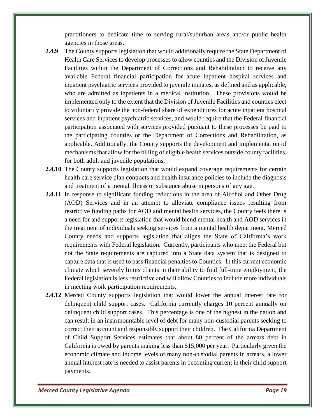practitioners to dedicate time to serving rural/suburban areas and/or public health agencies in those areas.

- **2.4.9** The County supports legislation that would additionally require the State Department of Health Care Services to develop processes to allow counties and the Division of Juvenile Facilities within the Department of Corrections and Rehabilitation to receive any available Federal financial participation for acute inpatient hospital services and inpatient psychiatric services provided to juvenile inmates, as defined and as applicable, who are admitted as inpatients in a medical institution. These provisions would be implemented only to the extent that the Division of Juvenile Facilities and counties elect to voluntarily provide the non-federal share of expenditures for acute inpatient hospital services and inpatient psychiatric services, and would require that the Federal financial participation associated with services provided pursuant to these processes be paid to the participating counties or the Department of Corrections and Rehabilitation, as applicable. Additionally, the County supports the development and implementation of mechanisms that allow for the billing of eligible health services outside county facilities, for both adult and juvenile populations.
- **2.4.10** The County supports legislation that would expand coverage requirements for certain health care service plan contracts and health insurance policies to include the diagnosis and treatment of a mental illness or substance abuse in persons of any age.
- **2.4.11** In response to significant funding reductions in the area of Alcohol and Other Drug (AOD) Services and in an attempt to alleviate compliance issues resulting from restrictive funding paths for AOD and mental health services, the County feels there is a need for and supports legislation that would blend mental health and AOD services in the treatment of individuals seeking services from a mental health department. Merced County needs and supports legislation that aligns the State of California's work requirements with Federal legislation. Currently, participants who meet the Federal but not the State requirements are captured into a State data system that is designed to capture data that is used to pass financial penalties to Counties. In this current economic climate which severely limits clients in their ability to find full-time employment, the Federal legislation is less restrictive and will allow Counties to include more individuals in meeting work participation requirements.
- **2.4.12** Merced County supports legislation that would lower the annual interest rate for delinquent child support cases. California currently charges 10 percent annually on delinquent child support cases. This percentage is one of the highest in the nation and can result in an insurmountable level of debt for many non-custodial parents seeking to correct their account and responsibly support their children. The California Department of Child Support Services estimates that about 80 percent of the arrears debt in California is owed by parents making less than \$15,000 per year. Particularly given the economic climate and income levels of many non-custodial parents in arrears, a lower annual interest rate is needed to assist parents in becoming current in their child support payments.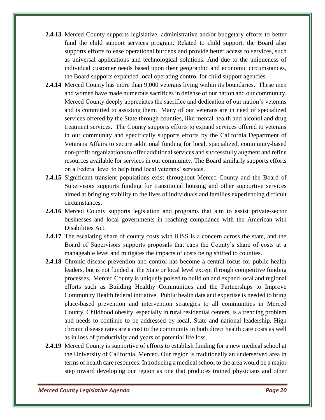- **2.4.13** Merced County supports legislative, administrative and/or budgetary efforts to better fund the child support services program. Related to child support, the Board also supports efforts to ease operational burdens and provide better access to services, such as universal applications and technological solutions. And due to the uniqueness of individual customer needs based upon their geographic and economic circumstances, the Board supports expanded local operating control for child support agencies.
- **2.4.14** Merced County has more than 9,000 veterans living within its boundaries. These men and women have made numerous sacrifices in defense of our nation and our community. Merced County deeply appreciates the sacrifice and dedication of our nation's veterans and is committed to assisting them. Many of our veterans are in need of specialized services offered by the State through counties, like mental health and alcohol and drug treatment services. The County supports efforts to expand services offered to veterans in our community and specifically supports efforts by the California Department of Veterans Affairs to secure additional funding for local, specialized, community-based non-profit organizations to offer additional services and successfully augment and refine resources available for services in our community. The Board similarly supports efforts on a Federal level to help fund local veterans' services.
- **2.4.15** Significant transient populations exist throughout Merced County and the Board of Supervisors supports funding for transitional housing and other supportive services aimed at bringing stability to the lives of individuals and families experiencing difficult circumstances.
- **2.4.16** Merced County supports legislation and programs that aim to assist private-sector businesses and local governments in reaching compliance with the American with Disabilities Act.
- **2.4.17** The escalating share of county costs with IHSS is a concern across the state, and the Board of Supervisors supports proposals that caps the County's share of costs at a manageable level and mitigates the impacts of costs being shifted to counties.
- **2.4.18** Chronic disease prevention and control has become a central focus for public health leaders, but is not funded at the State or local level except through competitive funding processes. Merced County is uniquely poised to build on and expand local and regional efforts such as Building Healthy Communities and the Partnerships to Improve Community Health federal initiative. Public health data and expertise is needed to bring place-based prevention and intervention strategies to all communities in Merced County. Childhood obesity, especially in rural residential centers, is a trending problem and needs to continue to be addressed by local, State and national leadership. High chronic disease rates are a cost to the community in both direct health care costs as well as in loss of productivity and years of potential life loss.
- **2.4.19** Merced County is supportive of efforts to establish funding for a new medical school at the University of California, Merced. Our region is traditionally an underserved area in terms of health care resources. Introducing a medical school to the area would be a major step toward developing our region as one that produces trained physicians and other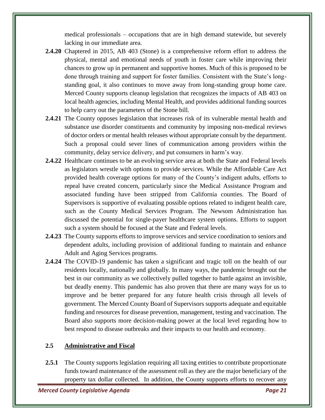medical professionals – occupations that are in high demand statewide, but severely lacking in our immediate area.

- **2.4.20** Chaptered in 2015, AB 403 (Stone) is a comprehensive reform effort to address the physical, mental and emotional needs of youth in foster care while improving their chances to grow up in permanent and supportive homes. Much of this is proposed to be done through training and support for foster families. Consistent with the State's longstanding goal, it also continues to move away from long-standing group home care. Merced County supports cleanup legislation that recognizes the impacts of AB 403 on local health agencies, including Mental Health, and provides additional funding sources to help carry out the parameters of the Stone bill.
- **2.4.21** The County opposes legislation that increases risk of its vulnerable mental health and substance use disorder constituents and community by imposing non-medical reviews of doctor orders or mental health releases without appropriate consult by the department. Such a proposal could sever lines of communication among providers within the community, delay service delivery, and put consumers in harm's way.
- **2.4.22** Healthcare continues to be an evolving service area at both the State and Federal levels as legislators wrestle with options to provide services. While the Affordable Care Act provided health coverage options for many of the County's indigent adults, efforts to repeal have created concern, particularly since the Medical Assistance Program and associated funding have been stripped from California counties. The Board of Supervisors is supportive of evaluating possible options related to indigent health care, such as the County Medical Services Program. The Newsom Administration has discussed the potential for single-payer healthcare system options. Efforts to support such a system should be focused at the State and Federal levels.
- **2.4.23** The County supports efforts to improve services and service coordination to seniors and dependent adults, including provision of additional funding to maintain and enhance Adult and Aging Services programs.
- **2.4.24** The COVID-19 pandemic has taken a significant and tragic toll on the health of our residents locally, nationally and globally. In many ways, the pandemic brought out the best in our community as we collectively pulled together to battle against an invisible, but deadly enemy. This pandemic has also proven that there are many ways for us to improve and be better prepared for any future health crisis through all levels of government. The Merced County Board of Supervisors supports adequate and equitable funding and resources for disease prevention, management, testing and vaccination. The Board also supports more decision-making power at the local level regarding how to best respond to disease outbreaks and their impacts to our health and economy.

#### **2.5 Administrative and Fiscal**

2.5.1 The County supports legislation requiring all taxing entities to contribute proportionate funds toward maintenance of the assessment roll as they are the major beneficiary of the property tax dollar collected. In addition, the County supports efforts to recover any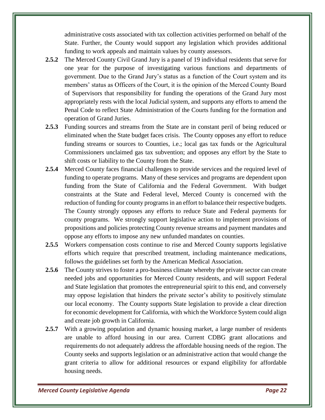administrative costs associated with tax collection activities performed on behalf of the State. Further, the County would support any legislation which provides additional funding to work appeals and maintain values by county assessors.

- **2.5.2** The Merced County Civil Grand Jury is a panel of 19 individual residents that serve for one year for the purpose of investigating various functions and departments of government. Due to the Grand Jury's status as a function of the Court system and its members' status as Officers of the Court, it is the opinion of the Merced County Board of Supervisors that responsibility for funding the operations of the Grand Jury most appropriately rests with the local Judicial system, and supports any efforts to amend the Penal Code to reflect State Administration of the Courts funding for the formation and operation of Grand Juries.
- **2.5.3** Funding sources and streams from the State are in constant peril of being reduced or eliminated when the State budget faces crisis. The County opposes any effort to reduce funding streams or sources to Counties, i.e.; local gas tax funds or the Agricultural Commissioners unclaimed gas tax subvention; and opposes any effort by the State to shift costs or liability to the County from the State.
- **2.5.4** Merced County faces financial challenges to provide services and the required level of funding to operate programs. Many of these services and programs are dependent upon funding from the State of California and the Federal Government. With budget constraints at the State and Federal level, Merced County is concerned with the reduction of funding for county programs in an effort to balance their respective budgets. The County strongly opposes any efforts to reduce State and Federal payments for county programs. We strongly support legislative action to implement provisions of propositions and policies protecting County revenue streams and payment mandates and oppose any efforts to impose any new unfunded mandates on counties.
- **2.5.5** Workers compensation costs continue to rise and Merced County supports legislative efforts which require that prescribed treatment, including maintenance medications, follows the guidelines set forth by the American Medical Association.
- **2.5.6** The County strives to foster a pro-business climate whereby the private sector can create needed jobs and opportunities for Merced County residents, and will support Federal and State legislation that promotes the entrepreneurial spirit to this end, and conversely may oppose legislation that hinders the private sector's ability to positively stimulate our local economy. The County supports State legislation to provide a clear direction for economic development for California, with which the Workforce System could align and create job growth in California.
- **2.5.7** With a growing population and dynamic housing market, a large number of residents are unable to afford housing in our area. Current CDBG grant allocations and requirements do not adequately address the affordable housing needs of the region. The County seeks and supports legislation or an administrative action that would change the grant criteria to allow for additional resources or expand eligibility for affordable housing needs.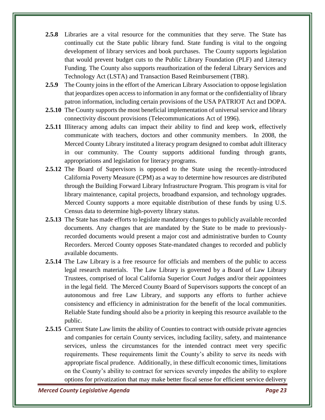- **2.5.8** Libraries are a vital resource for the communities that they serve. The State has continually cut the State public library fund. State funding is vital to the ongoing development of library services and book purchases. The County supports legislation that would prevent budget cuts to the Public Library Foundation (PLF) and Literacy Funding. The County also supports reauthorization of the federal Library Services and Technology Act (LSTA) and Transaction Based Reimbursement (TBR).
- **2.5.9** The County joins in the effort of the American Library Association to oppose legislation that jeopardizes open access to information in any format or the confidentiality of library patron information, including certain provisions of the USA PATRIOT Act and DOPA.
- **2.5.10** The County supports the most beneficial implementation of universal service and library connectivity discount provisions (Telecommunications Act of 1996).
- **2.5.11** Illiteracy among adults can impact their ability to find and keep work, effectively communicate with teachers, doctors and other community members. In 2008, the Merced County Library instituted a literacy program designed to combat adult illiteracy in our community. The County supports additional funding through grants, appropriations and legislation for literacy programs.
- **2.5.12** The Board of Supervisors is opposed to the State using the recently-introduced California Poverty Measure (CPM) as a way to determine how resources are distributed through the Building Forward Library Infrastructure Program. This program is vital for library maintenance, capital projects, broadband expansion, and technology upgrades. Merced County supports a more equitable distribution of these funds by using U.S. Census data to determine high-poverty library status.
- **2.5.13** The State has made efforts to legislate mandatory changes to publicly available recorded documents. Any changes that are mandated by the State to be made to previouslyrecorded documents would present a major cost and administrative burden to County Recorders. Merced County opposes State-mandated changes to recorded and publicly available documents.
- **2.5.14** The Law Library is a free resource for officials and members of the public to access legal research materials. The Law Library is governed by a Board of Law Library Trustees, comprised of local California Superior Court Judges and/or their appointees in the legal field. The Merced County Board of Supervisors supports the concept of an autonomous and free Law Library, and supports any efforts to further achieve consistency and efficiency in administration for the benefit of the local communities. Reliable State funding should also be a priority in keeping this resource available to the public.
- **2.5.15** Current State Law limits the ability of Counties to contract with outside private agencies and companies for certain County services, including facility, safety, and maintenance services, unless the circumstances for the intended contract meet very specific requirements. These requirements limit the County's ability to serve its needs with appropriate fiscal prudence. Additionally, in these difficult economic times, limitations on the County's ability to contract for services severely impedes the ability to explore options for privatization that may make better fiscal sense for efficient service delivery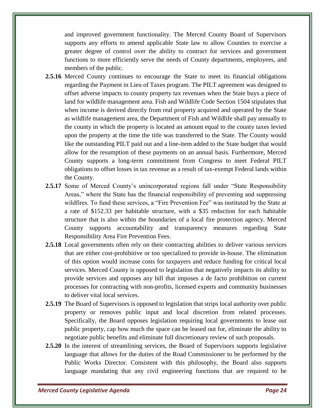and improved government functionality. The Merced County Board of Supervisors supports any efforts to amend applicable State law to allow Counties to exercise a greater degree of control over the ability to contract for services and government functions to more efficiently serve the needs of County departments, employees, and members of the public.

- **2.5.16** Merced County continues to encourage the State to meet its financial obligations regarding the Payment in Lieu of Taxes program. The PILT agreement was designed to offset adverse impacts to county property tax revenues when the State buys a piece of land for wildlife management area. Fish and Wildlife Code Section 1504 stipulates that when income is derived directly from real property acquired and operated by the State as wildlife management area, the Department of Fish and Wildlife shall pay annually to the county in which the property is located an amount equal to the county taxes levied upon the property at the time the title was transferred to the State. The County would like the outstanding PILT paid out and a line-item added to the State budget that would allow for the resumption of these payments on an annual basis. Furthermore, Merced County supports a long-term commitment from Congress to meet Federal PILT obligations to offset losses in tax revenue as a result of tax-exempt Federal lands within the County.
- **2.5.17** Some of Merced County's unincorporated regions fall under "State Responsibility Areas," where the State has the financial responsibility of preventing and suppressing wildfires. To fund these services, a "Fire Prevention Fee" was instituted by the State at a rate of \$152.33 per habitable structure, with a \$35 reduction for each habitable structure that is also within the boundaries of a local fire protection agency. Merced County supports accountability and transparency measures regarding State Responsibility Area Fire Prevention Fees.
- **2.5.18** Local governments often rely on their contracting abilities to deliver various services that are either cost-prohibitive or too specialized to provide in-house. The elimination of this option would increase costs for taxpayers and reduce funding for critical local services. Merced County is opposed to legislation that negatively impacts its ability to provide services and opposes any bill that imposes a de facto prohibition on current processes for contracting with non-profits, licensed experts and community businesses to deliver vital local services.
- **2.5.19** The Board of Supervisors is opposed to legislation that strips local authority over public property or removes public input and local discretion from related processes. Specifically, the Board opposes legislation requiring local governments to lease out public property, cap how much the space can be leased out for, eliminate the ability to negotiate public benefits and eliminate full discretionary review of such proposals.
- **2.5.20** In the interest of streamlining services, the Board of Supervisors supports legislative language that allows for the duties of the Road Commissioner to be performed by the Public Works Director. Consistent with this philosophy, the Board also supports language mandating that any civil engineering functions that are required to be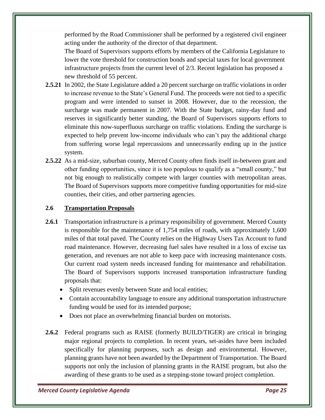performed by the Road Commissioner shall be performed by a registered civil engineer acting under the authority of the director of that department.

The Board of Supervisors supports efforts by members of the California Legislature to lower the vote threshold for construction bonds and special taxes for local government infrastructure projects from the current level of 2/3. Recent legislation has proposed a new threshold of 55 percent.

- **2.5.21** In 2002, the State Legislature added a 20 percent surcharge on traffic violations in order to increase revenue to the State's General Fund. The proceeds were not tied to a specific program and were intended to sunset in 2008. However, due to the recession, the surcharge was made permanent in 2007. With the State budget, rainy-day fund and reserves in significantly better standing, the Board of Supervisors supports efforts to eliminate this now-superfluous surcharge on traffic violations. Ending the surcharge is expected to help prevent low-income individuals who can't pay the additional charge from suffering worse legal repercussions and unnecessarily ending up in the justice system.
- **2.5.22** As a mid-size, suburban county, Merced County often finds itself in-between grant and other funding opportunities, since it is too populous to qualify as a "small county," but not big enough to realistically compete with larger counties with metropolitan areas. The Board of Supervisors supports more competitive funding opportunities for mid-size counties, their cities, and other partnering agencies.

#### **2.6 Transportation Proposals**

- 2.6.1 Transportation infrastructure is a primary responsibility of government. Merced County is responsible for the maintenance of 1,754 miles of roads, with approximately 1,600 miles of that total paved. The County relies on the Highway Users Tax Account to fund road maintenance. However, decreasing fuel sales have resulted in a loss of excise tax generation, and revenues are not able to keep pace with increasing maintenance costs. Our current road system needs increased funding for maintenance and rehabilitation. The Board of Supervisors supports increased transportation infrastructure funding proposals that:
	- Split revenues evenly between State and local entities;
	- Contain accountability language to ensure any additional transportation infrastructure funding would be used for its intended purpose;
	- Does not place an overwhelming financial burden on motorists.
- **2.6.2** Federal programs such as RAISE (formerly BUILD/TIGER) are critical in bringing major regional projects to completion. In recent years, set-asides have been included specifically for planning purposes, such as design and environmental. However, planning grants have not been awarded by the Department of Transportation. The Board supports not only the inclusion of planning grants in the RAISE program, but also the awarding of these grants to be used as a stepping-stone toward project completion.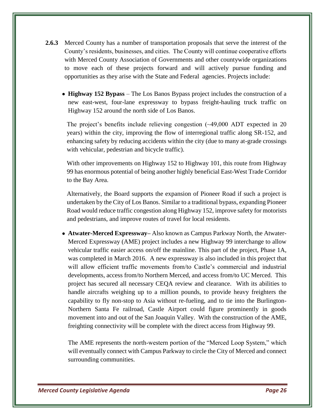- **2.6.3** Merced County has a number of transportation proposals that serve the interest of the County's residents, businesses, and cities. The County will continue cooperative efforts with Merced County Association of Governments and other countywide organizations to move each of these projects forward and will actively pursue funding and opportunities as they arise with the State and Federal agencies. Projects include:
	- **Highway 152 Bypass** The Los Banos Bypass project includes the construction of a new east-west, four-lane expressway to bypass freight-hauling truck traffic on Highway 152 around the north side of Los Banos.

The project's benefits include relieving congestion (~49,000 ADT expected in 20 years) within the city, improving the flow of interregional traffic along SR-152, and enhancing safety by reducing accidents within the city (due to many at-grade crossings with vehicular, pedestrian and bicycle traffic).

With other improvements on Highway 152 to Highway 101, this route from Highway 99 has enormous potential of being another highly beneficial East-West Trade Corridor to the Bay Area.

Alternatively, the Board supports the expansion of Pioneer Road if such a project is undertaken by the City of Los Banos. Similar to a traditional bypass, expanding Pioneer Road would reduce traffic congestion along Highway 152, improve safety for motorists and pedestrians, and improve routes of travel for local residents.

• **Atwater-Merced Expressway–** Also known as Campus Parkway North, the Atwater-Merced Expressway (AME) project includes a new Highway 99 interchange to allow vehicular traffic easier access on/off the mainline. This part of the project, Phase 1A, was completed in March 2016. A new expressway is also included in this project that will allow efficient traffic movements from/to Castle's commercial and industrial developments, access from/to Northern Merced, and access from/to UC Merced. This project has secured all necessary CEQA review and clearance. With its abilities to handle aircrafts weighing up to a million pounds, to provide heavy freighters the capability to fly non-stop to Asia without re-fueling, and to tie into the Burlington-Northern Santa Fe railroad, Castle Airport could figure prominently in goods movement into and out of the San Joaquin Valley. With the construction of the AME, freighting connectivity will be complete with the direct access from Highway 99.

The AME represents the north-western portion of the "Merced Loop System," which will eventually connect with Campus Parkway to circle the City of Merced and connect surrounding communities.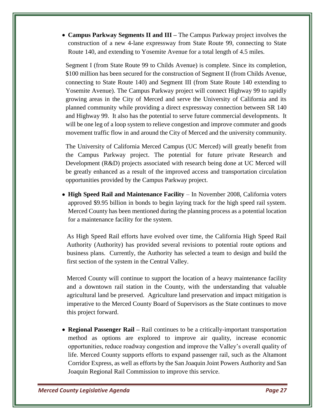• **Campus Parkway Segments II and III –** The Campus Parkway project involves the construction of a new 4-lane expressway from State Route 99, connecting to State Route 140, and extending to Yosemite Avenue for a total length of 4.5 miles.

Segment I (from State Route 99 to Childs Avenue) is complete. Since its completion, \$100 million has been secured for the construction of Segment II (from Childs Avenue, connecting to State Route 140) and Segment III (from State Route 140 extending to Yosemite Avenue). The Campus Parkway project will connect Highway 99 to rapidly growing areas in the City of Merced and serve the University of California and its planned community while providing a direct expressway connection between SR 140 and Highway 99. It also has the potential to serve future commercial developments. It will be one leg of a loop system to relieve congestion and improve commuter and goods movement traffic flow in and around the City of Merced and the university community.

The University of California Merced Campus (UC Merced) will greatly benefit from the Campus Parkway project. The potential for future private Research and Development (R&D) projects associated with research being done at UC Merced will be greatly enhanced as a result of the improved access and transportation circulation opportunities provided by the Campus Parkway project.

• **High Speed Rail and Maintenance Facility** – In November 2008, California voters approved \$9.95 billion in bonds to begin laying track for the high speed rail system. Merced County has been mentioned during the planning process as a potential location for a maintenance facility for the system.

As High Speed Rail efforts have evolved over time, the California High Speed Rail Authority (Authority) has provided several revisions to potential route options and business plans. Currently, the Authority has selected a team to design and build the first section of the system in the Central Valley.

Merced County will continue to support the location of a heavy maintenance facility and a downtown rail station in the County, with the understanding that valuable agricultural land be preserved. Agriculture land preservation and impact mitigation is imperative to the Merced County Board of Supervisors as the State continues to move this project forward.

• **Regional Passenger Rail –** Rail continues to be a critically-important transportation method as options are explored to improve air quality, increase economic opportunities, reduce roadway congestion and improve the Valley's overall quality of life. Merced County supports efforts to expand passenger rail, such as the Altamont Corridor Express, as well as efforts by the San Joaquin Joint Powers Authority and San Joaquin Regional Rail Commission to improve this service.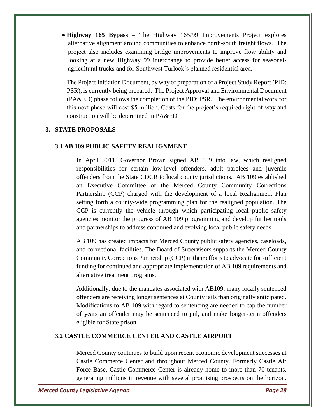• **Highway 165 Bypass** – The Highway 165/99 Improvements Project explores alternative alignment around communities to enhance north-south freight flows. The project also includes examining bridge improvements to improve flow ability and looking at a new Highway 99 interchange to provide better access for seasonalagricultural trucks and for Southwest Turlock's planned residential area.

The Project Initiation Document, by way of preparation of a Project Study Report (PID: PSR), is currently being prepared. The Project Approval and Environmental Document (PA&ED) phase follows the completion of the PID: PSR. The environmental work for this next phase will cost \$5 million. Costs for the project's required right-of-way and construction will be determined in PA&ED.

#### **3. STATE PROPOSALS**

#### **3.1 AB 109 PUBLIC SAFETY REALIGNMENT**

In April 2011, Governor Brown signed AB 109 into law, which realigned responsibilities for certain low-level offenders, adult parolees and juvenile offenders from the State CDCR to local county jurisdictions. AB 109 established an Executive Committee of the Merced County Community Corrections Partnership (CCP) charged with the development of a local Realignment Plan setting forth a county-wide programming plan for the realigned population. The CCP is currently the vehicle through which participating local public safety agencies monitor the progress of AB 109 programming and develop further tools and partnerships to address continued and evolving local public safety needs.

AB 109 has created impacts for Merced County public safety agencies, caseloads, and correctional facilities. The Board of Supervisors supports the Merced County Community Corrections Partnership (CCP) in their efforts to advocate for sufficient funding for continued and appropriate implementation of AB 109 requirements and alternative treatment programs.

Additionally, due to the mandates associated with AB109, many locally sentenced offenders are receiving longer sentences at County jails than originally anticipated. Modifications to AB 109 with regard to sentencing are needed to cap the number of years an offender may be sentenced to jail, and make longer-term offenders eligible for State prison.

#### **3.2 CASTLE COMMERCE CENTER AND CASTLE AIRPORT**

Merced County continues to build upon recent economic development successes at Castle Commerce Center and throughout Merced County. Formerly Castle Air Force Base, Castle Commerce Center is already home to more than 70 tenants, generating millions in revenue with several promising prospects on the horizon.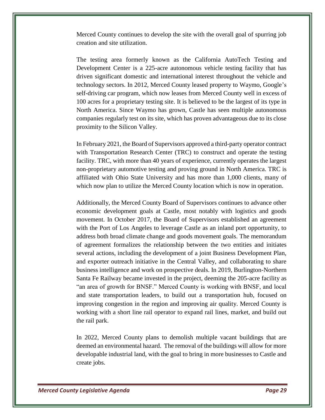Merced County continues to develop the site with the overall goal of spurring job creation and site utilization.

The testing area formerly known as the California AutoTech Testing and Development Center is a 225-acre autonomous vehicle testing facility that has driven significant domestic and international interest throughout the vehicle and technology sectors. In 2012, Merced County leased property to Waymo, Google's self-driving car program, which now leases from Merced County well in excess of 100 acres for a proprietary testing site. It is believed to be the largest of its type in North America. Since Waymo has grown, Castle has seen multiple autonomous companies regularly test on its site, which has proven advantageous due to its close proximity to the Silicon Valley.

In February 2021, the Board of Supervisors approved a third-party operator contract with Transportation Research Center (TRC) to construct and operate the testing facility. TRC, with more than 40 years of experience, currently operates the largest non-proprietary automotive testing and proving ground in North America. TRC is affiliated with Ohio State University and has more than 1,000 clients, many of which now plan to utilize the Merced County location which is now in operation.

Additionally, the Merced County Board of Supervisors continues to advance other economic development goals at Castle, most notably with logistics and goods movement. In October 2017, the Board of Supervisors established an agreement with the Port of Los Angeles to leverage Castle as an inland port opportunity, to address both broad climate change and goods movement goals. The memorandum of agreement formalizes the relationship between the two entities and initiates several actions, including the development of a joint Business Development Plan, and exporter outreach initiative in the Central Valley, and collaborating to share business intelligence and work on prospective deals. In 2019, Burlington-Northern Santa Fe Railway became invested in the project, deeming the 205-acre facility as "an area of growth for BNSF." Merced County is working with BNSF, and local and state transportation leaders, to build out a transportation hub, focused on improving congestion in the region and improving air quality. Merced County is working with a short line rail operator to expand rail lines, market, and build out the rail park.

In 2022, Merced County plans to demolish multiple vacant buildings that are deemed an environmental hazard. The removal of the buildings will allow for more developable industrial land, with the goal to bring in more businesses to Castle and create jobs.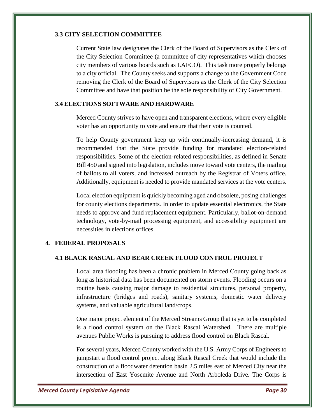#### **3.3 CITY SELECTION COMMITTEE**

Current State law designates the Clerk of the Board of Supervisors as the Clerk of the City Selection Committee (a committee of city representatives which chooses city members of various boards such as LAFCO). This task more properly belongs to a city official. The County seeks and supports a change to the Government Code removing the Clerk of the Board of Supervisors as the Clerk of the City Selection Committee and have that position be the sole responsibility of City Government.

#### **3.4 ELECTIONS SOFTWARE AND HARDWARE**

Merced County strives to have open and transparent elections, where every eligible voter has an opportunity to vote and ensure that their vote is counted.

To help County government keep up with continually-increasing demand, it is recommended that the State provide funding for mandated election-related responsibilities. Some of the election-related responsibilities, as defined in Senate Bill 450 and signed into legislation, includes move toward vote centers, the mailing of ballots to all voters, and increased outreach by the Registrar of Voters office. Additionally, equipment is needed to provide mandated services at the vote centers.

Local election equipment is quickly becoming aged and obsolete, posing challenges for county elections departments. In order to update essential electronics, the State needs to approve and fund replacement equipment. Particularly, ballot-on-demand technology, vote-by-mail processing equipment, and accessibility equipment are necessities in elections offices.

#### **4. FEDERAL PROPOSALS**

#### **4.1 BLACK RASCAL AND BEAR CREEK FLOOD CONTROL PROJECT**

Local area flooding has been a chronic problem in Merced County going back as long as historical data has been documented on storm events. Flooding occurs on a routine basis causing major damage to residential structures, personal property, infrastructure (bridges and roads), sanitary systems, domestic water delivery systems, and valuable agricultural land/crops.

One major project element of the Merced Streams Group that is yet to be completed is a flood control system on the Black Rascal Watershed. There are multiple avenues Public Works is pursuing to address flood control on Black Rascal.

For several years, Merced County worked with the U.S. Army Corps of Engineers to jumpstart a flood control project along Black Rascal Creek that would include the construction of a floodwater detention basin 2.5 miles east of Merced City near the intersection of East Yosemite Avenue and North Arboleda Drive. The Corps is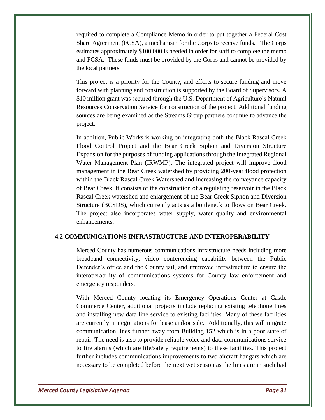required to complete a Compliance Memo in order to put together a Federal Cost Share Agreement (FCSA), a mechanism for the Corps to receive funds. The Corps estimates approximately \$100,000 is needed in order for staff to complete the memo and FCSA. These funds must be provided by the Corps and cannot be provided by the local partners.

This project is a priority for the County, and efforts to secure funding and move forward with planning and construction is supported by the Board of Supervisors. A \$10 million grant was secured through the U.S. Department of Agriculture's Natural Resources Conservation Service for construction of the project. Additional funding sources are being examined as the Streams Group partners continue to advance the project.

In addition, Public Works is working on integrating both the Black Rascal Creek Flood Control Project and the Bear Creek Siphon and Diversion Structure Expansion for the purposes of funding applications through the Integrated Regional Water Management Plan (IRWMP). The integrated project will improve flood management in the Bear Creek watershed by providing 200-year flood protection within the Black Rascal Creek Watershed and increasing the conveyance capacity of Bear Creek. It consists of the construction of a regulating reservoir in the Black Rascal Creek watershed and enlargement of the Bear Creek Siphon and Diversion Structure (BCSDS), which currently acts as a bottleneck to flows on Bear Creek. The project also incorporates water supply, water quality and environmental enhancements.

#### **4.2 COMMUNICATIONS INFRASTRUCTURE AND INTEROPERABILITY**

Merced County has numerous communications infrastructure needs including more broadband connectivity, video conferencing capability between the Public Defender's office and the County jail, and improved infrastructure to ensure the interoperability of communications systems for County law enforcement and emergency responders.

With Merced County locating its Emergency Operations Center at Castle Commerce Center, additional projects include replacing existing telephone lines and installing new data line service to existing facilities. Many of these facilities are currently in negotiations for lease and/or sale. Additionally, this will migrate communication lines further away from Building 152 which is in a poor state of repair. The need is also to provide reliable voice and data communications service to fire alarms (which are life/safety requirements) to these facilities. This project further includes communications improvements to two aircraft hangars which are necessary to be completed before the next wet season as the lines are in such bad